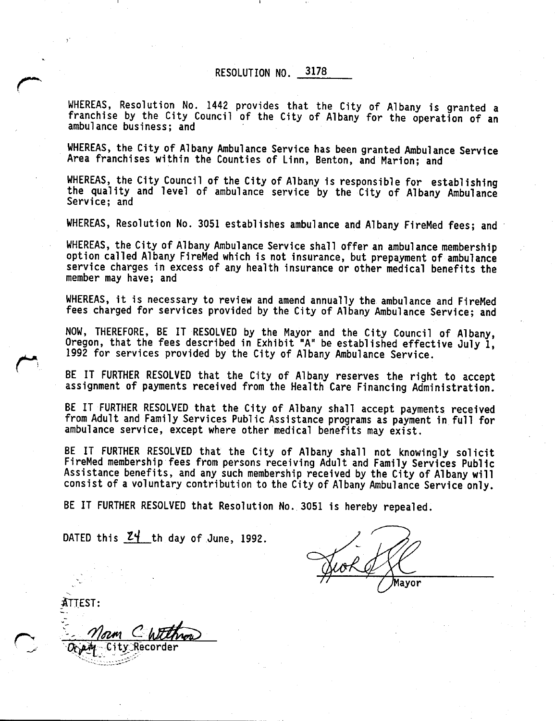RESOLUTION NO. 3178

WHEREAS, Resolution No. <sup>1442</sup> provides that the City of Albany is granted <sup>a</sup> franchise by the City Council of the City of Albany for the operation of an ambulance business; and

WHEREAS, the City of Albany Ambulance Service has been granted Ambulance Service Area franchises within the Counties of Linn, Benton, and Marion; and

WHEREAS, the City Council of the City of Albany is responsible for establishing<br>the quality and level of ambulance service by the City of Albany Ambulance Service; and

WHEREAS, Resolution No. 3051 establishes ambulance and Albany FireMed fees; and

WHEREAS, the City of Albany Ambulance Service shall offer an ambulance membership option called Albany FireMed which is not insurance, but prepayment of ambulance service charges in excess of any health insurance or other medical benefits the member may have; and

WHEREAS, it is necessary to review and amend annually the ambulance and FireMed fees charged for services provided by the City of Albany Ambulance Service; and

NOW, THEREFORE, BE IT RESOLVED by the Mayor and the City Council of Albany, Oregon, that the fees described in Exhibit "A" be established effective July 1, <sup>1992</sup> for services provided by the City of Albany Ambulance Service.

BE IT FURTHER RESOLVED that the City of Albany reserves the right to accept assignment of payments received from the Health Care Financing Administration.

BE IT FURTHER RESOLVED that the City of Albany shall accept payments received from Adult and Family Services Public Assistance programs as payment in full for ambulance service, except where other medical benefits may exist.

BE IT FURTHER RESOLVED that the City of Albany shall not knowingly solicit FireMed membership fees from persons receiving Adult and Family Services Public Assistance benefits, and any such membership received by the City of Albany will consist of <sup>a</sup> voluntary contribution to the City of Albany Ambulance Service only.

BE IT FURTHER RESOLVED that Resolution No. <sup>3051</sup> is hereby repealed.

DATED this  $24$  th day of June, 1992.

Mavor

TEST: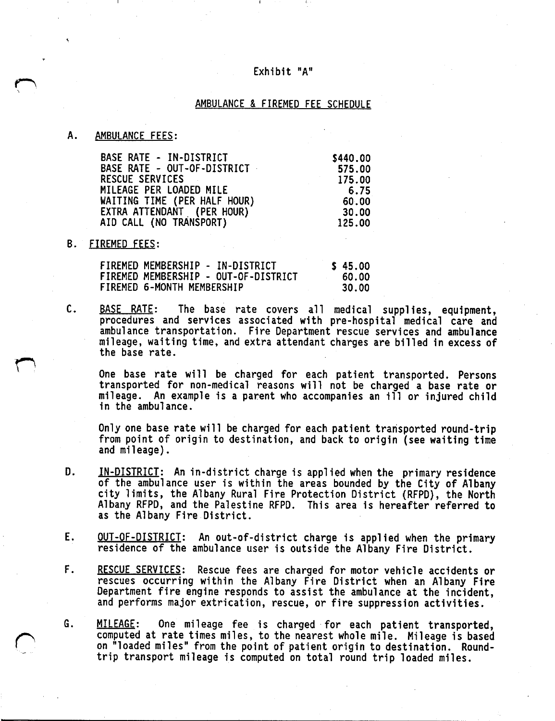## Exhibit "A"

## AMBULANCE & FIREMED FEE SCHEDULE

## A. AMBULANCE FEES:

| BASE RATE - IN-DISTRICT      | \$440.00 |
|------------------------------|----------|
| BASE RATE - OUT-OF-DISTRICT  | 575.00   |
| RESCUE SERVICES              | 175.00   |
| MILEAGE PER LOADED MILE      | 6.75     |
| WAITING TIME (PER HALF HOUR) | 60.00    |
| EXTRA ATTENDANT (PER HOUR)   | 30.00    |
| AID CALL (NO TRANSPORT)      | 125.00   |
|                              |          |

## B. FIREMED FEES:

| ______________________ |                                                                                                        |                           |
|------------------------|--------------------------------------------------------------------------------------------------------|---------------------------|
|                        | FIREMED MEMBERSHIP - IN-DISTRICT<br>FIREMED MEMBERSHIP - OUT-OF-DISTRICT<br>FIREMED 6-MONTH MEMBERSHIP | \$45.00<br>60.00<br>30.00 |
|                        |                                                                                                        |                           |

C. BASE RATE: The base rate covers all medical supplies, equipment, procedures and services associated with pre-hospital medical care and ambulance transportation. Fire Department rescue services and ambulance mileage, waiting time, and extra attendant charges are billed in excess of the base rate.

One base rate will be charged for each patient transported. Persons transported for non-medical reasons will not be charged <sup>a</sup> base rate or mileage. An example is <sup>a</sup> parent who accompanies an ill or injured child in the ambulance.

Only one base rate will be charged for each patient transported round-trip from point of origin to destination, and back to origin {see waiting time and mileage}.

- D. **IN-DISTRICT**: An in-district charge is applied when the primary residence of the ambulance user is within the areas bounded by the City of Albany city limits, the Albany Rural Fire Protection District {RFPD), the North Albany RFPD, and the Palestine RFPD. This area is hereafter referred to as the Albany Fire District.
- E. QUT-OF-DISTRICT: An out-of-district charge is applied when the primary residence of the ambulance user is outside the Albany Fire District.
- F. RESCUE SERVICES: Rescue fees are charged for motor vehicle accidents or rescues occurring within the Albany Fire District when an Albany Fire Department fire engine responds to assist the ambulance at the incident, and performs major extrication, rescue, or fire suppression activities.
- G. MILEAGE: One mileage fee is charged for each patient transported, computed at rate times miles, to the nearest whole mile. Mileage is based on "loaded miles" from the point of patient origin to destination. Roundtrip transport mileage is computed on total round trip loaded miles.